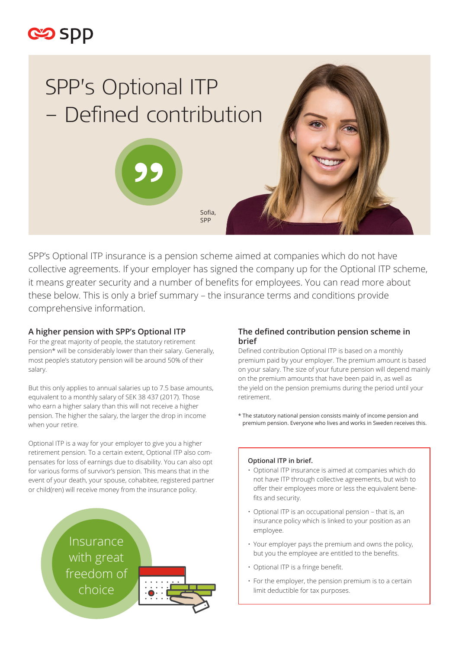



SPP's Optional ITP insurance is a pension scheme aimed at companies which do not have collective agreements. If your employer has signed the company up for the Optional ITP scheme, it means greater security and a number of benefits for employees. You can read more about these below. This is only a brief summary – the insurance terms and conditions provide comprehensive information.

## **A higher pension with SPP's Optional ITP**

For the great majority of people, the statutory retirement pension\* will be considerably lower than their salary. Generally, most people's statutory pension will be around 50% of their salary.

But this only applies to annual salaries up to 7.5 base amounts, equivalent to a monthly salary of SEK 38 437 (2017). Those who earn a higher salary than this will not receive a higher pension. The higher the salary, the larger the drop in income when your retire.

Optional ITP is a way for your employer to give you a higher retirement pension. To a certain extent, Optional ITP also compensates for loss of earnings due to disability. You can also opt for various forms of survivor's pension. This means that in the event of your death, your spouse, cohabitee, registered partner or child(ren) will receive money from the insurance policy.



# **The defined contribution pension scheme in brief**

Defined contribution Optional ITP is based on a monthly premium paid by your employer. The premium amount is based on your salary. The size of your future pension will depend mainly on the premium amounts that have been paid in, as well as the yield on the pension premiums during the period until your retirement.

\* The statutory national pension consists mainly of income pension and premium pension. Everyone who lives and works in Sweden receives this.

#### **Optional ITP in brief.**

- Optional ITP insurance is aimed at companies which do not have ITP through collective agreements, but wish to offer their employees more or less the equivalent benefits and security.
- Optional ITP is an occupational pension that is, an insurance policy which is linked to your position as an employee.
- Your employer pays the premium and owns the policy, but you the employee are entitled to the benefits.
- Optional ITP is a fringe benefit.
- For the employer, the pension premium is to a certain limit deductible for tax purposes.